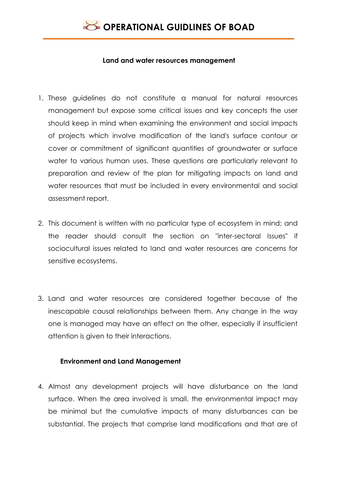

#### **Land and water resources management**

- 1. These guidelines do not constitute a manual for natural resources management but expose some critical issues and key concepts the user should keep in mind when examining the environment and social impacts of projects which involve modification of the land's surface contour or cover or commitment of significant quantities of groundwater or surface water to various human uses. These questions are particularly relevant to preparation and review of the plan for mitigating impacts on land and water resources that must be included in every environmental and social assessment report.
- 2. This document is written with no particular type of ecosystem in mind; and the reader should consult the section on "inter-sectoral Issues" if sociocultural issues related to land and water resources are concerns for sensitive ecosystems.
- 3. Land and water resources are considered together because of the inescapable causal relationships between them. Any change in the way one is managed may have an effect on the other, especially if insufficient attention is given to their interactions.

### **Environment and Land Management**

4. Almost any development projects will have disturbance on the land surface. When the area involved is small, the environmental impact may be minimal but the cumulative impacts of many disturbances can be substantial. The projects that comprise land modifications and that are of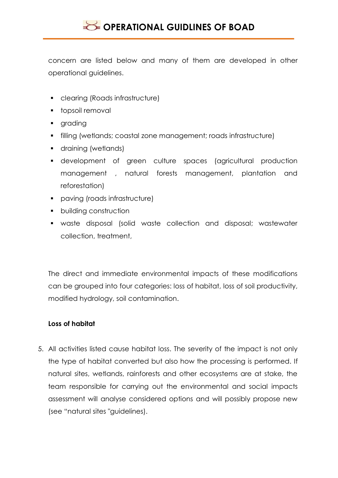concern are listed below and many of them are developed in other operational guidelines.

- clearing (Roads infrastructure)
- topsoil removal
- **grading**
- filling (wetlands; coastal zone management; roads infrastructure)
- **draining (wetlands)**
- development of green culture spaces (agricultural production management , natural forests management, plantation and reforestation)
- paving (roads infrastructure)
- **•** building construction
- waste disposal (solid waste collection and disposal; wastewater collection, treatment,

The direct and immediate environmental impacts of these modifications can be grouped into four categories: loss of habitat, loss of soil productivity, modified hydrology, soil contamination.

## **Loss of habitat**

5. All activities listed cause habitat loss. The severity of the impact is not only the type of habitat converted but also how the processing is performed. If natural sites, wetlands, rainforests and other ecosystems are at stake, the team responsible for carrying out the environmental and social impacts assessment will analyse considered options and will possibly propose new (see "natural sites "guidelines).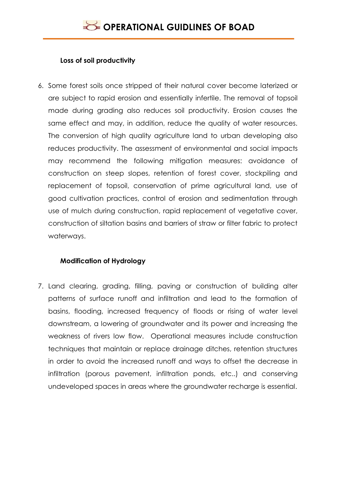## **Loss of soil productivity**

6. Some forest soils once stripped of their natural cover become laterized or are subject to rapid erosion and essentially infertile. The removal of topsoil made during grading also reduces soil productivity. Erosion causes the same effect and may, in addition, reduce the quality of water resources. The conversion of high quality agriculture land to urban developing also reduces productivity. The assessment of environmental and social impacts may recommend the following mitigation measures: avoidance of construction on steep slopes, retention of forest cover, stockpiling and replacement of topsoil, conservation of prime agricultural land, use of good cultivation practices, control of erosion and sedimentation through use of mulch during construction, rapid replacement of vegetative cover, construction of siltation basins and barriers of straw or filter fabric to protect waterways.

## **Modification of Hydrology**

7. Land clearing, grading, filling, paving or construction of building alter patterns of surface runoff and infiltration and lead to the formation of basins, flooding, increased frequency of floods or rising of water level downstream, a lowering of groundwater and its power and increasing the weakness of rivers low flow. Operational measures include construction techniques that maintain or replace drainage ditches, retention structures in order to avoid the increased runoff and ways to offset the decrease in infiltration (porous pavement, infiltration ponds, etc..) and conserving undeveloped spaces in areas where the groundwater recharge is essential.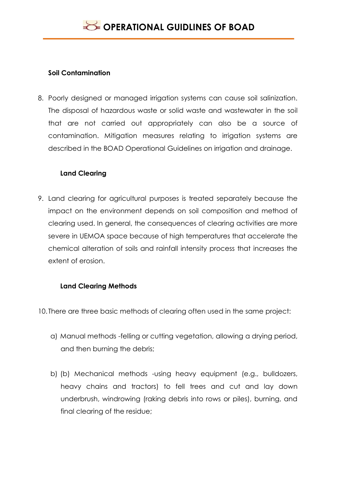## **Soil Contamination**

8. Poorly designed or managed irrigation systems can cause soil salinization. The disposal of hazardous waste or solid waste and wastewater in the soil that are not carried out appropriately can also be a source of contamination. Mitigation measures relating to irrigation systems are described in the BOAD Operational Guidelines on irrigation and drainage.

## **Land Clearing**

9. Land clearing for agricultural purposes is treated separately because the impact on the environment depends on soil composition and method of clearing used. In general, the consequences of clearing activities are more severe in UEMOA space because of high temperatures that accelerate the chemical alteration of soils and rainfall intensity process that increases the extent of erosion.

# **Land Clearing Methods**

- 10. There are three basic methods of clearing often used in the same project:
	- a) Manual methods -felling or cutting vegetation, allowing a drying period, and then burning the debris;
	- b) (b) Mechanical methods -using heavy equipment (e.g., bulldozers, heavy chains and tractors) to fell trees and cut and lay down underbrush, windrowing (raking debris into rows or piles), burning, and final clearing of the residue;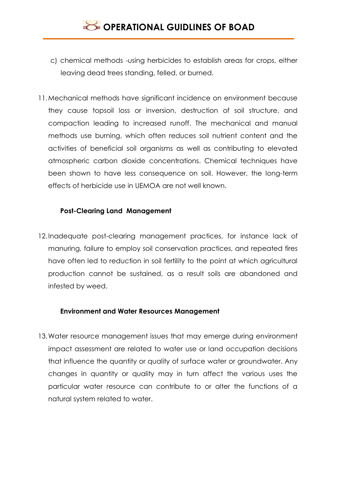- c) chemical methods -using herbicides to establish areas for crops, either leaving dead trees standing, felled, or burned.
- 11.Mechanical methods have significant incidence on environment because they cause topsoil loss or inversion, destruction of soil structure, and compaction leading to increased runoff. The mechanical and manual methods use burning, which often reduces soil nutrient content and the activities of beneficial soil organisms as well as contributing to elevated atmospheric carbon dioxide concentrations. Chemical techniques have been shown to have less consequence on soil. However, the long-term effects of herbicide use in UEMOA are not well known.

## **Post-Clearing Land Management**

12.Inadequate post-clearing management practices, for instance lack of manuring, failure to employ soil conservation practices, and repeated fires have often led to reduction in soil fertility to the point at which agricultural production cannot be sustained, as a result soils are abandoned and infested by weed.

### **Environment and Water Resources Management**

13.Water resource management issues that may emerge during environment impact assessment are related to water use or land occupation decisions that influence the quantity or quality of surface water or groundwater. Any changes in quantity or quality may in turn affect the various uses the particular water resource can contribute to or alter the functions of a natural system related to water.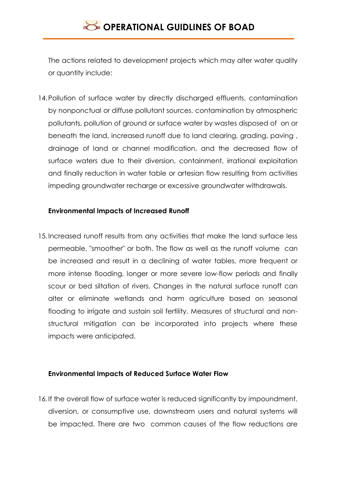The actions related to development projects which may alter water quality or quantity include:

14. Pollution of surface water by directly discharged effluents, contamination by nonponctual or diffuse pollutant sources, contamination by atmospheric pollutants, pollution of ground or surface water by wastes disposed of on or beneath the land, increased runoff due to land clearing, grading, paving , drainage of land or channel modification, and the decreased flow of surface waters due to their diversion, containment, irrational exploitation and finally reduction in water table or artesian flow resulting from activities impeding groundwater recharge or excessive groundwater withdrawals.

### **Environmental Impacts of Increased Runoff**

15.Increased runoff results from any activities that make the land surface less permeable, "smoother" or both. The flow as well as the runoff volume can be increased and result in a declining of water tables, more frequent or more intense flooding, longer or more severe low-flow periods and finally scour or bed siltation of rivers. Changes in the natural surface runoff can alter or eliminate wetlands and harm agriculture based on seasonal flooding to irrigate and sustain soil fertility. Measures of structural and nonstructural mitigation can be incorporated into projects where these impacts were anticipated.

### **Environmental Impacts of Reduced Surface Water Flow**

16.If the overall flow of surface water is reduced significantly by impoundment, diversion, or consumptive use, downstream users and natural systems will be impacted. There are two common causes of the flow reductions are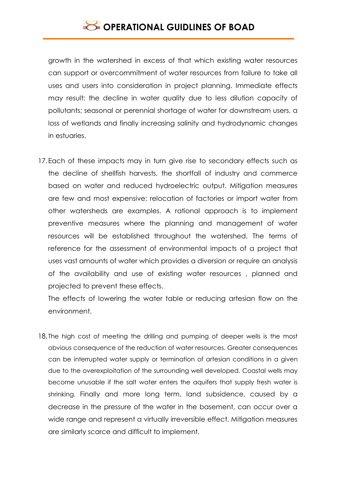growth in the watershed in excess of that which existing water resources can support or overcommitment of water resources from failure to take all uses and users into consideration in project planning. Immediate effects may result: the decline in water quality due to less dilution capacity of pollutants; seasonal or perennial shortage of water for downstream users, a loss of wetlands and finally increasing salinity and hydrodynamic changes in estuaries.

17.Each of these impacts may in turn give rise to secondary effects such as the decline of shellfish harvests, the shortfall of industry and commerce based on water and reduced hydroelectric output. Mitigation measures are few and most expensive; relocation of factories or import water from other watersheds are examples. A rational approach is to implement preventive measures where the planning and management of water resources will be established throughout the watershed. The terms of reference for the assessment of environmental impacts of a project that uses vast amounts of water which provides a diversion or require an analysis of the availability and use of existing water resources , planned and projected to prevent these effects.

The effects of lowering the water table or reducing artesian flow on the environment.

18. The high cost of meeting the drilling and pumping of deeper wells is the most obvious consequence of the reduction of water resources. Greater consequences can be interrupted water supply or termination of artesian conditions in a given due to the overexploitation of the surrounding well developed. Coastal wells may become unusable if the salt water enters the aquifers that supply fresh water is shrinking. Finally and more long term, land subsidence, caused by a decrease in the pressure of the water in the basement, can occur over a wide range and represent a virtually irreversible effect. Mitigation measures are similarly scarce and difficult to implement.